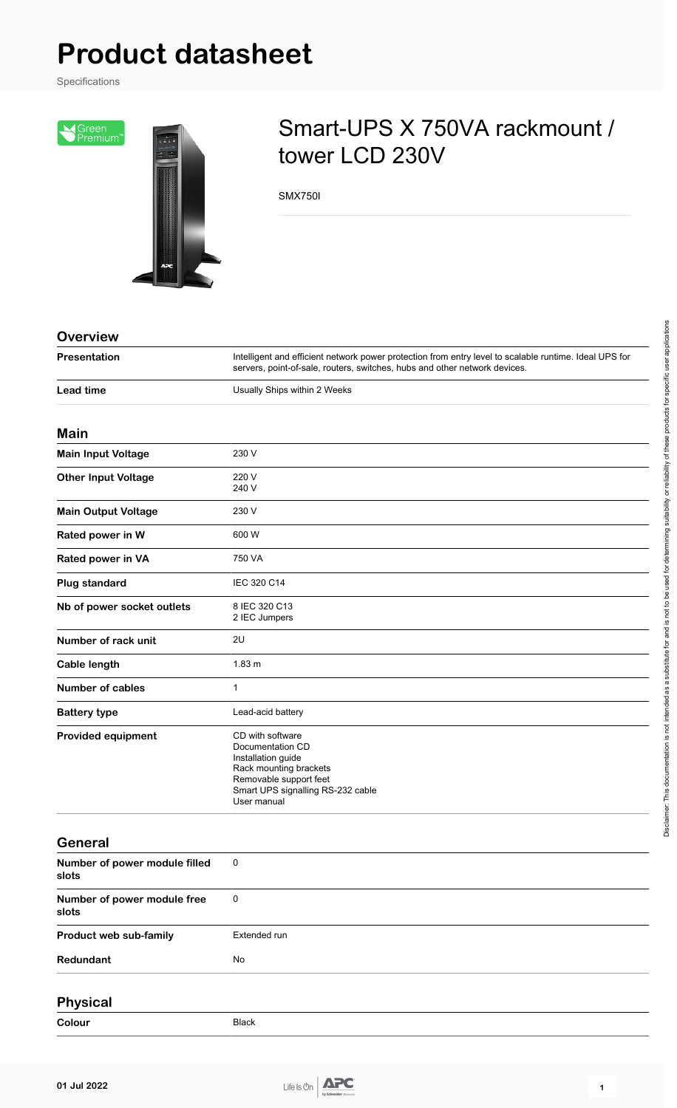# **Product datasheet**

Specifications



## Smart-UPS X 750VA rackmount / tower LCD 230V

SMX750I

| <b>Overview</b> |  |  |  |  |
|-----------------|--|--|--|--|
|                 |  |  |  |  |
|                 |  |  |  |  |
|                 |  |  |  |  |

| Presentation               | Intelligent and efficient network power protection from entry level to scalable runtime. Ideal UPS for<br>servers, point-of-sale, routers, switches, hubs and other network devices. |  |
|----------------------------|--------------------------------------------------------------------------------------------------------------------------------------------------------------------------------------|--|
| <b>Lead time</b>           | Usually Ships within 2 Weeks                                                                                                                                                         |  |
| Main                       |                                                                                                                                                                                      |  |
| <b>Main Input Voltage</b>  | 230 V                                                                                                                                                                                |  |
| <b>Other Input Voltage</b> | 220 V<br>240 V                                                                                                                                                                       |  |
| <b>Main Output Voltage</b> | 230 V                                                                                                                                                                                |  |
| Rated power in W           | 600 W                                                                                                                                                                                |  |
| Rated power in VA          | 750 VA                                                                                                                                                                               |  |
| Plug standard              | IEC 320 C14                                                                                                                                                                          |  |
| Nb of power socket outlets | 8 IEC 320 C13<br>2 IEC Jumpers                                                                                                                                                       |  |
| Number of rack unit        | 2U                                                                                                                                                                                   |  |
| Cable length               | 1.83 <sub>m</sub>                                                                                                                                                                    |  |
| <b>Number of cables</b>    | $\mathbf{1}$                                                                                                                                                                         |  |
| <b>Battery type</b>        | Lead-acid battery                                                                                                                                                                    |  |
| <b>Provided equipment</b>  | CD with software<br>Documentation CD<br>Installation guide<br>Rack mounting brackets<br>Removable support feet<br>Smart UPS signalling RS-232 cable<br>User manual                   |  |

#### **General**

| Number of power module filled<br>slots | $\overline{\mathbf{0}}$ |
|----------------------------------------|-------------------------|
| Number of power module free<br>slots   | $\overline{\mathbf{0}}$ |
| Product web sub-family                 | Extended run            |
| Redundant                              | No                      |
|                                        |                         |

#### **Physical**

**Colour** Black



Disclaimer: This documentation is not intended as a substitute for and is not to be used for determining suitability or reliability of these products for specific user applications

Disclaimer. This documentation is not intended as a substitute for and is not to be used for determining suitability or reliability of these products for specific user applications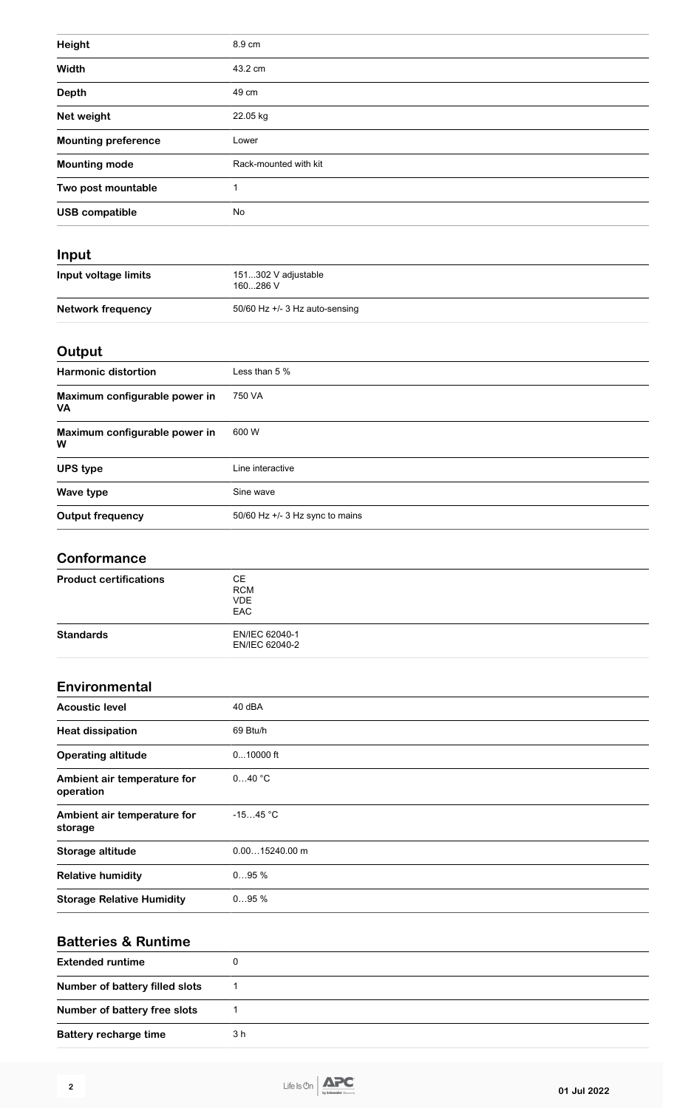| Height                     | 8.9 cm                |  |
|----------------------------|-----------------------|--|
| Width                      | 43.2 cm               |  |
| <b>Depth</b>               | 49 cm                 |  |
| Net weight                 | 22.05 kg              |  |
| <b>Mounting preference</b> | Lower                 |  |
| <b>Mounting mode</b>       | Rack-mounted with kit |  |
| Two post mountable         |                       |  |
| <b>USB compatible</b>      | No                    |  |
|                            |                       |  |

## **Input**

| Input voltage limits | 151302 V adjustable<br>160286 V  |
|----------------------|----------------------------------|
| Network frequency    | 50/60 Hz $+/-$ 3 Hz auto-sensing |

## **Output**

| <b>Harmonic distortion</b>                 | Less than 5 %                     |
|--------------------------------------------|-----------------------------------|
| Maximum configurable power in<br><b>VA</b> | 750 VA                            |
| Maximum configurable power in<br>W         | 600 W                             |
| <b>UPS type</b>                            | Line interactive                  |
| Wave type                                  | Sine wave                         |
| <b>Output frequency</b>                    | 50/60 Hz $+/-$ 3 Hz sync to mains |

#### **Conformance**

| <b>Product certifications</b> | CЕ<br><b>RCM</b><br><b>VDE</b><br><b>EAC</b> |  |
|-------------------------------|----------------------------------------------|--|
| <b>Standards</b>              | EN/IEC 62040-1<br>EN/IEC 62040-2             |  |

#### **Environmental**

| <b>Acoustic level</b>                    | 40 dBA           |
|------------------------------------------|------------------|
| <b>Heat dissipation</b>                  | 69 Btu/h         |
| <b>Operating altitude</b>                | $010000$ ft      |
| Ambient air temperature for<br>operation | 040 °C           |
| Ambient air temperature for<br>storage   | $-1545 °C$       |
| Storage altitude                         | $0.0015240.00$ m |
| <b>Relative humidity</b>                 | 095%             |
| <b>Storage Relative Humidity</b>         | 095%             |

| <b>Batteries &amp; Runtime</b> |     |  |
|--------------------------------|-----|--|
| <b>Extended runtime</b>        |     |  |
| Number of battery filled slots |     |  |
| Number of battery free slots   |     |  |
| <b>Battery recharge time</b>   | 3 h |  |